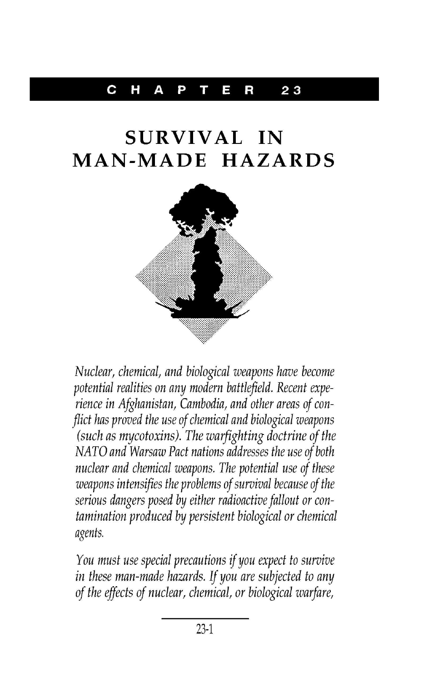#### C HAP T E R **23**

# **SURVIV AL IN MAN-MADE HAZARDS**



Nuclear, chemical, and biological weapons have become potential realities on any modern battlefield. Recent experience in Afghanistan, Cambodia, and other areas of conflict has proved the use of chemical and biological weapons (such as mycotoxins). The warfighting doctrine of the NATO and Warsaw Pact nations addresses the use of both nuclear and chemical weapons. The potential use of these weapons intensifies the problems of survival because of the serious dangers posed by either radioactive fallout or contamination produced by persistent biological or chemical agents.

You must use special precautions if you expect to survive in these man-made hazards. If you are subjected to any of the effects of nuclear, chemical, or biological warfare,